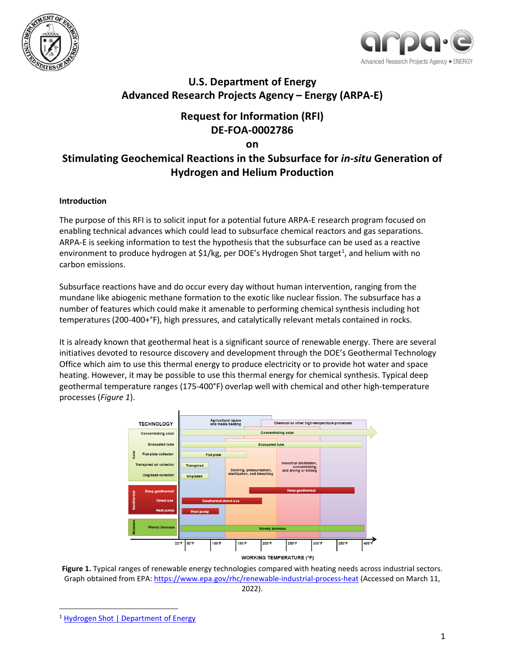



## **U.S. Department of Energy Advanced Research Projects Agency – Energy (ARPA-E)**

## **Request for Information (RFI) DE-FOA-0002786**

**on** 

# **Stimulating Geochemical Reactions in the Subsurface for** *in-situ* **Generation of Hydrogen and Helium Production**

### **Introduction**

The purpose of this RFI is to solicit input for a potential future ARPA-E research program focused on enabling technical advances which could lead to subsurface chemical reactors and gas separations. ARPA-E is seeking information to test the hypothesis that the subsurface can be used as a reactive environment to produce hydrogen at \$[1](#page-0-1)/kg, per DOE's Hydrogen Shot target<sup>1</sup>, and helium with no carbon emissions.

Subsurface reactions have and do occur every day without human intervention, ranging from the mundane like abiogenic methane formation to the exotic like nuclear fission. The subsurface has a number of features which could make it amenable to performing chemical synthesis including hot temperatures (200-400+°F), high pressures, and catalytically relevant metals contained in rocks.

It is already known that geothermal heat is a significant source of renewable energy. There are several initiatives devoted to resource discovery and development through the DOE's Geothermal Technology Office which aim to use this thermal energy to produce electricity or to provide hot water and space heating. However, it may be possible to use this thermal energy for chemical synthesis. Typical deep geothermal temperature ranges (175-400°F) overlap well with chemical and other high-temperature processes (*[Figure 1](#page-0-0)*).



<span id="page-0-0"></span>**Figure 1.** Typical ranges of renewable energy technologies compared with heating needs across industrial sectors. Graph obtained from EPA:<https://www.epa.gov/rhc/renewable-industrial-process-heat> (Accessed on March 11, 2022).

<span id="page-0-1"></span><sup>1</sup> [Hydrogen Shot | Department of Energy](https://www.energy.gov/eere/fuelcells/hydrogen-shot?msclkid=edf467dfac9411ecab00c690e872e58a)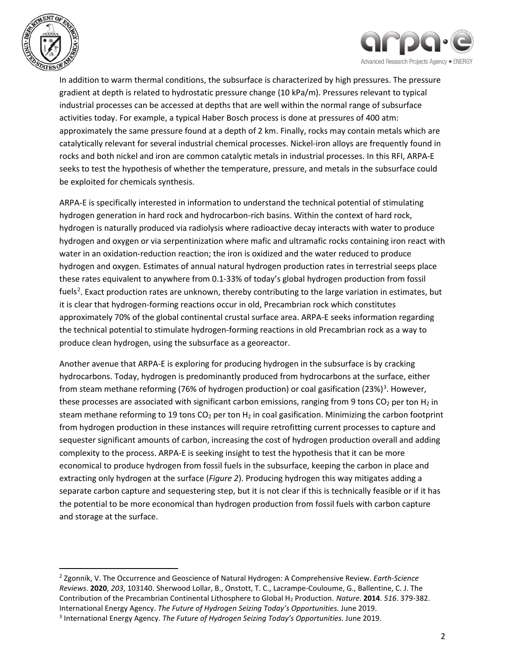



In addition to warm thermal conditions, the subsurface is characterized by high pressures. The pressure gradient at depth is related to hydrostatic pressure change (10 kPa/m). Pressures relevant to typical industrial processes can be accessed at depths that are well within the normal range of subsurface activities today. For example, a typical Haber Bosch process is done at pressures of 400 atm: approximately the same pressure found at a depth of 2 km. Finally, rocks may contain metals which are catalytically relevant for several industrial chemical processes. Nickel-iron alloys are frequently found in rocks and both nickel and iron are common catalytic metals in industrial processes. In this RFI, ARPA-E seeks to test the hypothesis of whether the temperature, pressure, and metals in the subsurface could be exploited for chemicals synthesis.

ARPA-E is specifically interested in information to understand the technical potential of stimulating hydrogen generation in hard rock and hydrocarbon-rich basins. Within the context of hard rock, hydrogen is naturally produced via radiolysis where radioactive decay interacts with water to produce hydrogen and oxygen or via serpentinization where mafic and ultramafic rocks containing iron react with water in an oxidation-reduction reaction; the iron is oxidized and the water reduced to produce hydrogen and oxygen. Estimates of annual natural hydrogen production rates in terrestrial seeps place these rates equivalent to anywhere from 0.1-33% of today's global hydrogen production from fossil fuels<sup>[2](#page-1-0)</sup>. Exact production rates are unknown, thereby contributing to the large variation in estimates, but it is clear that hydrogen-forming reactions occur in old, Precambrian rock which constitutes approximately 70% of the global continental crustal surface area. ARPA-E seeks information regarding the technical potential to stimulate hydrogen-forming reactions in old Precambrian rock as a way to produce clean hydrogen, using the subsurface as a georeactor.

Another avenue that ARPA-E is exploring for producing hydrogen in the subsurface is by cracking hydrocarbons. Today, hydrogen is predominantly produced from hydrocarbons at the surface, either from steam methane reforming (76% of hydrogen production) or coal gasification (2[3](#page-1-1)%)<sup>3</sup>. However, these processes are associated with significant carbon emissions, ranging from 9 tons  $CO<sub>2</sub>$  per ton H<sub>2</sub> in steam methane reforming to 19 tons  $CO<sub>2</sub>$  per ton H<sub>2</sub> in coal gasification. Minimizing the carbon footprint from hydrogen production in these instances will require retrofitting current processes to capture and sequester significant amounts of carbon, increasing the cost of hydrogen production overall and adding complexity to the process. ARPA-E is seeking insight to test the hypothesis that it can be more economical to produce hydrogen from fossil fuels in the subsurface, keeping the carbon in place and extracting only hydrogen at the surface (*[Figure 2](#page-2-0)*). Producing hydrogen this way mitigates adding a separate carbon capture and sequestering step, but it is not clear if this is technically feasible or if it has the potential to be more economical than hydrogen production from fossil fuels with carbon capture and storage at the surface.

<span id="page-1-1"></span><span id="page-1-0"></span><sup>2</sup> Zgonnik, V. The Occurrence and Geoscience of Natural Hydrogen: A Comprehensive Review. *Earth-Science Reviews*. **2020**, *203*, 103140. Sherwood Lollar, B., Onstott, T. C., Lacrampe-Couloume, G., Ballentine, C. J. The Contribution of the Precambrian Continental Lithosphere to Global H2 Production. *Nature*. **2014**. *516*. 379-382. International Energy Agency. *The Future of Hydrogen Seizing Today's Opportunities.* June 2019. <sup>3</sup> International Energy Agency. *The Future of Hydrogen Seizing Today's Opportunities.* June 2019.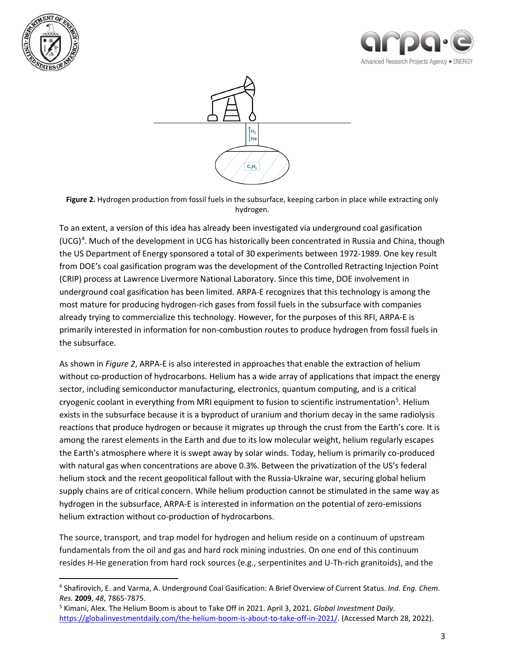





<span id="page-2-0"></span>**Figure 2.** Hydrogen production from fossil fuels in the subsurface, keeping carbon in place while extracting only hydrogen.

To an extent, a version of this idea has already been investigated via underground coal gasification (UCG)<sup>[4](#page-2-1)</sup>. Much of the development in UCG has historically been concentrated in Russia and China, though the US Department of Energy sponsored a total of 30 experiments between 1972-1989. One key result from DOE's coal gasification program was the development of the Controlled Retracting Injection Point (CRIP) process at Lawrence Livermore National Laboratory. Since this time, DOE involvement in underground coal gasification has been limited. ARPA-E recognizes that this technology is among the most mature for producing hydrogen-rich gases from fossil fuels in the subsurface with companies already trying to commercialize this technology. However, for the purposes of this RFI, ARPA-E is primarily interested in information for non-combustion routes to produce hydrogen from fossil fuels in the subsurface.

As shown in *[Figure 2](#page-2-0)*, ARPA-E is also interested in approaches that enable the extraction of helium without co-production of hydrocarbons. Helium has a wide array of applications that impact the energy sector, including semiconductor manufacturing, electronics, quantum computing, and is a critical cryogenic coolant in everything from MRI equipment to fusion to scientific instrumentation<sup>[5](#page-2-2)</sup>. Helium exists in the subsurface because it is a byproduct of uranium and thorium decay in the same radiolysis reactions that produce hydrogen or because it migrates up through the crust from the Earth's core. It is among the rarest elements in the Earth and due to its low molecular weight, helium regularly escapes the Earth's atmosphere where it is swept away by solar winds. Today, helium is primarily co-produced with natural gas when concentrations are above 0.3%. Between the privatization of the US's federal helium stock and the recent geopolitical fallout with the Russia-Ukraine war, securing global helium supply chains are of critical concern. While helium production cannot be stimulated in the same way as hydrogen in the subsurface, ARPA-E is interested in information on the potential of zero-emissions helium extraction without co-production of hydrocarbons.

The source, transport, and trap model for hydrogen and helium reside on a continuum of upstream fundamentals from the oil and gas and hard rock mining industries. On one end of this continuum resides H-He generation from hard rock sources (e.g., serpentinites and U-Th-rich granitoids), and the

<span id="page-2-1"></span><sup>4</sup> Shafirovich, E. and Varma, A. Underground Coal Gasification: A Brief Overview of Current Status. *Ind. Eng. Chem. Res.* **2009**, *48*, 7865-7875.

<span id="page-2-2"></span><sup>5</sup> Kimani, Alex. The Helium Boom is about to Take Off in 2021. April 3, 2021. *Global Investment Daily*. [https://globalinvestmentdaily.com/the-helium-boom-is-about-to-take-off-in-2021/.](https://globalinvestmentdaily.com/the-helium-boom-is-about-to-take-off-in-2021/) (Accessed March 28, 2022).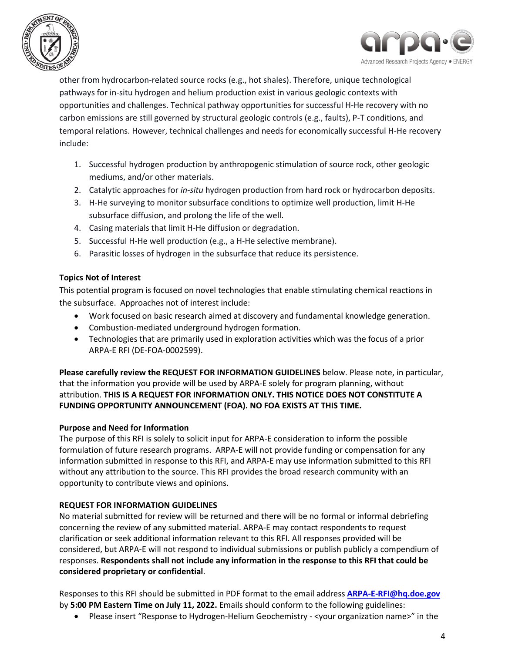



other from hydrocarbon-related source rocks (e.g., hot shales). Therefore, unique technological pathways for in-situ hydrogen and helium production exist in various geologic contexts with opportunities and challenges. Technical pathway opportunities for successful H-He recovery with no carbon emissions are still governed by structural geologic controls (e.g., faults), P-T conditions, and temporal relations. However, technical challenges and needs for economically successful H-He recovery include:

- 1. Successful hydrogen production by anthropogenic stimulation of source rock, other geologic mediums, and/or other materials.
- 2. Catalytic approaches for *in-situ* hydrogen production from hard rock or hydrocarbon deposits.
- 3. H-He surveying to monitor subsurface conditions to optimize well production, limit H-He subsurface diffusion, and prolong the life of the well.
- 4. Casing materials that limit H-He diffusion or degradation.
- 5. Successful H-He well production (e.g., a H-He selective membrane).
- 6. Parasitic losses of hydrogen in the subsurface that reduce its persistence.

### **Topics Not of Interest**

This potential program is focused on novel technologies that enable stimulating chemical reactions in the subsurface. Approaches not of interest include:

- Work focused on basic research aimed at discovery and fundamental knowledge generation.
- Combustion-mediated underground hydrogen formation.
- Technologies that are primarily used in exploration activities which was the focus of a prior ARPA-E RFI (DE-FOA-0002599).

**Please carefully review the REQUEST FOR INFORMATION GUIDELINES** below. Please note, in particular, that the information you provide will be used by ARPA-E solely for program planning, without attribution. **THIS IS A REQUEST FOR INFORMATION ONLY. THIS NOTICE DOES NOT CONSTITUTE A FUNDING OPPORTUNITY ANNOUNCEMENT (FOA). NO FOA EXISTS AT THIS TIME.** 

### **Purpose and Need for Information**

The purpose of this RFI is solely to solicit input for ARPA-E consideration to inform the possible formulation of future research programs. ARPA-E will not provide funding or compensation for any information submitted in response to this RFI, and ARPA-E may use information submitted to this RFI without any attribution to the source. This RFI provides the broad research community with an opportunity to contribute views and opinions.

### **REQUEST FOR INFORMATION GUIDELINES**

No material submitted for review will be returned and there will be no formal or informal debriefing concerning the review of any submitted material. ARPA-E may contact respondents to request clarification or seek additional information relevant to this RFI. All responses provided will be considered, but ARPA-E will not respond to individual submissions or publish publicly a compendium of responses. **Respondents shall not include any information in the response to this RFI that could be considered proprietary or confidential**.

Responses to this RFI should be submitted in PDF format to the email address **[ARPA-E-RFI@hq.doe.gov](mailto:ARPA-E-RFI@hq.doe.gov)** by **5:00 PM Eastern Time on July 11, 2022.** Emails should conform to the following guidelines:

• Please insert "Response to Hydrogen-Helium Geochemistry - < your organization name>" in the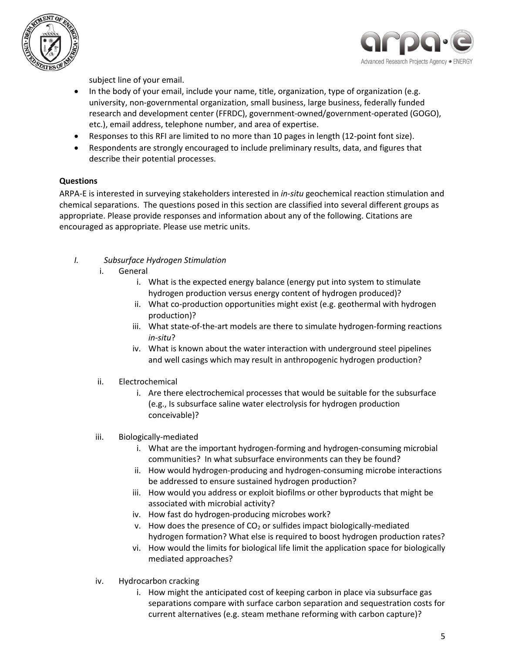



subject line of your email.

- In the body of your email, include your name, title, organization, type of organization (e.g. university, non-governmental organization, small business, large business, federally funded research and development center (FFRDC), government-owned/government-operated (GOGO), etc.), email address, telephone number, and area of expertise.
- Responses to this RFI are limited to no more than 10 pages in length (12-point font size).
- Respondents are strongly encouraged to include preliminary results, data, and figures that describe their potential processes.

### **Questions**

ARPA-E is interested in surveying stakeholders interested in *in-situ* geochemical reaction stimulation and chemical separations. The questions posed in this section are classified into several different groups as appropriate. Please provide responses and information about any of the following. Citations are encouraged as appropriate. Please use metric units.

- *I. Subsurface Hydrogen Stimulation*
	- i. General
		- i. What is the expected energy balance (energy put into system to stimulate hydrogen production versus energy content of hydrogen produced)?
		- ii. What co-production opportunities might exist (e.g. geothermal with hydrogen production)?
		- iii. What state-of-the-art models are there to simulate hydrogen-forming reactions *in-situ*?
		- iv. What is known about the water interaction with underground steel pipelines and well casings which may result in anthropogenic hydrogen production?
	- ii. Electrochemical
		- i. Are there electrochemical processes that would be suitable for the subsurface (e.g., Is subsurface saline water electrolysis for hydrogen production conceivable)?
	- iii. Biologically-mediated
		- i. What are the important hydrogen-forming and hydrogen-consuming microbial communities? In what subsurface environments can they be found?
		- ii. How would hydrogen-producing and hydrogen-consuming microbe interactions be addressed to ensure sustained hydrogen production?
		- iii. How would you address or exploit biofilms or other byproducts that might be associated with microbial activity?
		- iv. How fast do hydrogen-producing microbes work?
		- v. How does the presence of  $CO<sub>2</sub>$  or sulfides impact biologically-mediated hydrogen formation? What else is required to boost hydrogen production rates?
		- vi. How would the limits for biological life limit the application space for biologically mediated approaches?
	- iv. Hydrocarbon cracking
		- i. How might the anticipated cost of keeping carbon in place via subsurface gas separations compare with surface carbon separation and sequestration costs for current alternatives (e.g. steam methane reforming with carbon capture)?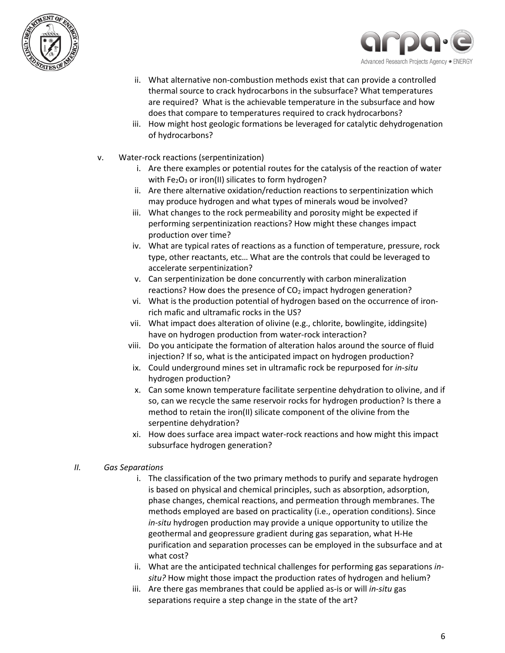



- ii. What alternative non-combustion methods exist that can provide a controlled thermal source to crack hydrocarbons in the subsurface? What temperatures are required? What is the achievable temperature in the subsurface and how does that compare to temperatures required to crack hydrocarbons?
- iii. How might host geologic formations be leveraged for catalytic dehydrogenation of hydrocarbons?
- v. Water-rock reactions (serpentinization)
	- i. Are there examples or potential routes for the catalysis of the reaction of water with  $Fe<sub>2</sub>O<sub>3</sub>$  or iron(II) silicates to form hydrogen?
	- ii. Are there alternative oxidation/reduction reactions to serpentinization which may produce hydrogen and what types of minerals woud be involved?
	- iii. What changes to the rock permeability and porosity might be expected if performing serpentinization reactions? How might these changes impact production over time?
	- iv. What are typical rates of reactions as a function of temperature, pressure, rock type, other reactants, etc… What are the controls that could be leveraged to accelerate serpentinization?
	- v. Can serpentinization be done concurrently with carbon mineralization reactions? How does the presence of  $CO<sub>2</sub>$  impact hydrogen generation?
	- vi. What is the production potential of hydrogen based on the occurrence of ironrich mafic and ultramafic rocks in the US?
	- vii. What impact does alteration of olivine (e.g., chlorite, bowlingite, iddingsite) have on hydrogen production from water-rock interaction?
	- viii. Do you anticipate the formation of alteration halos around the source of fluid injection? If so, what is the anticipated impact on hydrogen production?
	- ix. Could underground mines set in ultramafic rock be repurposed for *in-situ* hydrogen production?
	- x. Can some known temperature facilitate serpentine dehydration to olivine, and if so, can we recycle the same reservoir rocks for hydrogen production? Is there a method to retain the iron(II) silicate component of the olivine from the serpentine dehydration?
	- xi. How does surface area impact water-rock reactions and how might this impact subsurface hydrogen generation?
- *II. Gas Separations*
	- i. The classification of the two primary methods to purify and separate hydrogen is based on physical and chemical principles, such as absorption, adsorption, phase changes, chemical reactions, and permeation through membranes. The methods employed are based on practicality (i.e., operation conditions). Since *in-situ* hydrogen production may provide a unique opportunity to utilize the geothermal and geopressure gradient during gas separation, what H-He purification and separation processes can be employed in the subsurface and at what cost?
	- ii. What are the anticipated technical challenges for performing gas separations *insitu?* How might those impact the production rates of hydrogen and helium?
	- iii. Are there gas membranes that could be applied as-is or will *in-situ* gas separations require a step change in the state of the art?